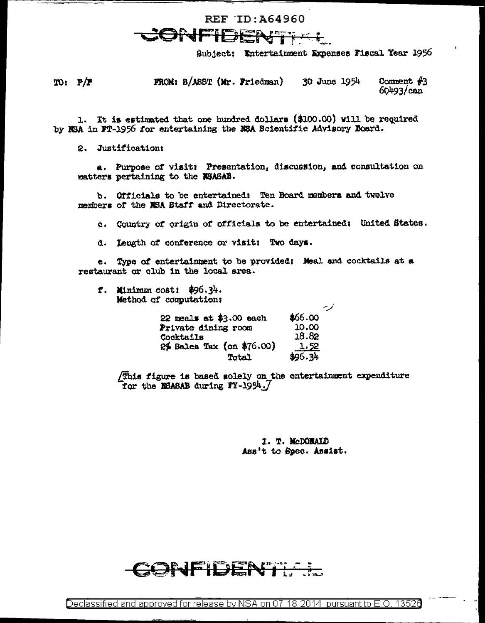## REF ID: A64960

Subject: Entertainment Expenses Fiscal Year 1956

 $TO: P/F$ FROM: B/ASST (Mr. Friedman) 30 June 1954 Comment  $#3$  $60493/can$ 

1. It is estimated that one hundred dollars (\$100.00) will be required by NSA in FT-1956 for entertaining the NSA Beientific Advisory Board.

2. Justification:

a. Purpose of visit: Presentation, discussion, and consultation on matters pertaining to the MSASAB.

b. Officials to be entertained: Ten Board members and twelve members of the NSA Staff and Directorate.

c. Country of origin of officials to be entertained: United States.

d. Length of conference or visit: Two days.

e. Type of entertainment to be provided: Meal and cocktails at a restaurant or club in the local area.

f. Minimum cost:  $$96.34.$ Method of computation:

| $22$ meals at \$3.00 each | \$66.00     |
|---------------------------|-------------|
| Private dining room       | 10.00       |
| <b>Cocktails</b>          | 18.82       |
| 2% Sales Tax (on \$76.00) | <u>1.52</u> |
| Total                     | \$96.34     |

(This figure is based solely on the entertainment expenditure for the NSASAB during FY-1954.7

> I. T. McDONALD Ass't to Spec. Assist.

ارس

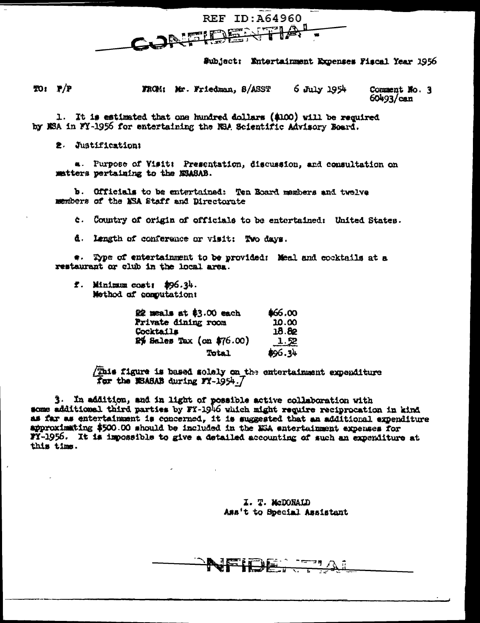

Subject: Entertainment Expenses Fiscal Year 1956

TO: P/P FROM: Mr. Friedman, S/ASST  $6$  July  $1954$ Comment No. 3

 $60493/can$ 

1. It is estimated that one hundred dollars (\$100) will be required by NSA in FY-1956 for entertaining the NSA Scientific Advisory Board.

2. Justification:

a. Purpose of Visit: Presentation, discussion, and consultation on matters pertaining to the NSASAB.

b. Officials to be entertained: Ten Board members and twelve members of the MSA Staff and Directorate

c. Country of origin of officials to be entertained: United States.

d. Length of conference or visit: Two days.

\*. Type of entertainment to be provided: Meal and cooktails at a restaurant or club in the local area.

f. Minimum cost: \$96.34. Method of computation:

| 22 meals at \$3.00 each   | \$66.00     |
|---------------------------|-------------|
| Private dining room       | 10.00       |
| Cocktails                 | 18.82       |
| 2% Sales Tax (on \$76.00) | <u>1.52</u> |
| <b>Total</b>              | \$96.34     |

(This figure is based solely on the entertainment expenditure for the MSASAB during FY-1954.7

3. In addition, and in light of possible active collaboration with some additional third parties by FY-1946 which might require reciprocation in kind as far as entertainment is concerned, it is suggested that an additional expenditure approximating \$500.00 should be included in the W5A entertainment expenses for FY-1956. It is impossible to give a detailed accounting of such an expenditure at this time.

> I. T. McDONALD Ass't to Special Assistant